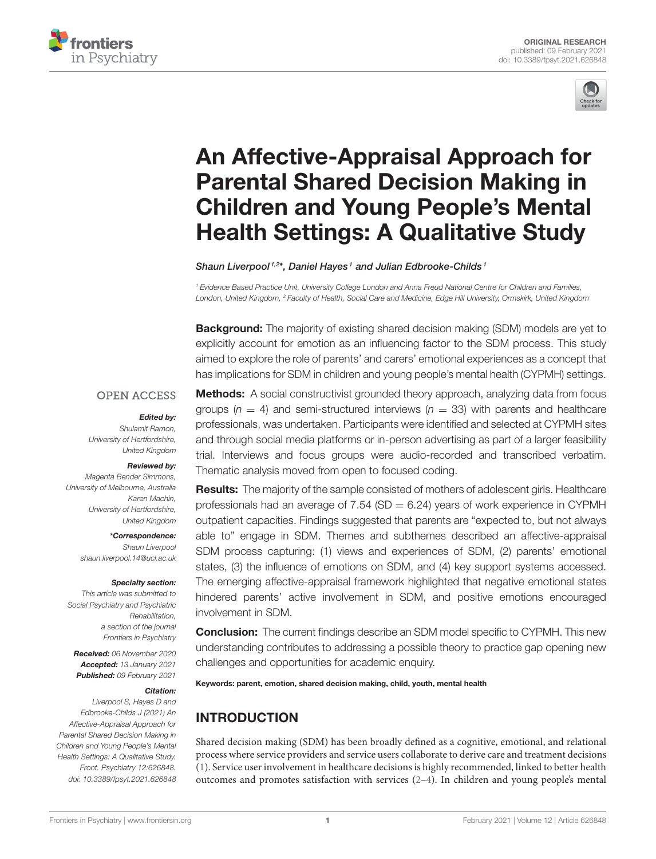



# An Affective-Appraisal Approach for Parental Shared Decision Making in [Children and Young People's Mental](https://www.frontiersin.org/articles/10.3389/fpsyt.2021.626848/full) Health Settings: A Qualitative Study

Shaun Liverpool<sup>1,2\*</sup>, Daniel Hayes<sup>1</sup> and Julian Edbrooke-Childs<sup>1</sup>

<sup>1</sup> Evidence Based Practice Unit, University College London and Anna Freud National Centre for Children and Families, London, United Kingdom, <sup>2</sup> Faculty of Health, Social Care and Medicine, Edge Hill University, Ormskirk, United Kingdom

**Background:** The majority of existing shared decision making (SDM) models are yet to explicitly account for emotion as an influencing factor to the SDM process. This study aimed to explore the role of parents' and carers' emotional experiences as a concept that has implications for SDM in children and young people's mental health (CYPMH) settings.

#### **OPEN ACCESS**

#### Edited by:

Shulamit Ramon, University of Hertfordshire, United Kingdom

#### Reviewed by:

Magenta Bender Simmons, University of Melbourne, Australia Karen Machin, University of Hertfordshire, United Kingdom

> \*Correspondence: Shaun Liverpool [shaun.liverpool.14@ucl.ac.uk](mailto:shaun.liverpool.14@ucl.ac.uk)

#### Specialty section:

This article was submitted to Social Psychiatry and Psychiatric Rehabilitation, a section of the journal Frontiers in Psychiatry

Received: 06 November 2020 Accepted: 13 January 2021 Published: 09 February 2021

#### Citation:

Liverpool S, Hayes D and Edbrooke-Childs J (2021) An Affective-Appraisal Approach for Parental Shared Decision Making in Children and Young People's Mental Health Settings: A Qualitative Study. Front. Psychiatry 12:626848. doi: [10.3389/fpsyt.2021.626848](https://doi.org/10.3389/fpsyt.2021.626848)

**Methods:** A social constructivist grounded theory approach, analyzing data from focus groups ( $n = 4$ ) and semi-structured interviews ( $n = 33$ ) with parents and healthcare professionals, was undertaken. Participants were identified and selected at CYPMH sites and through social media platforms or in-person advertising as part of a larger feasibility trial. Interviews and focus groups were audio-recorded and transcribed verbatim. Thematic analysis moved from open to focused coding.

**Results:** The majority of the sample consisted of mothers of adolescent girls. Healthcare professionals had an average of 7.54 (SD  $= 6.24$ ) years of work experience in CYPMH outpatient capacities. Findings suggested that parents are "expected to, but not always able to" engage in SDM. Themes and subthemes described an affective-appraisal SDM process capturing: (1) views and experiences of SDM, (2) parents' emotional states, (3) the influence of emotions on SDM, and (4) key support systems accessed. The emerging affective-appraisal framework highlighted that negative emotional states hindered parents' active involvement in SDM, and positive emotions encouraged involvement in SDM.

**Conclusion:** The current findings describe an SDM model specific to CYPMH. This new understanding contributes to addressing a possible theory to practice gap opening new challenges and opportunities for academic enquiry.

Keywords: parent, emotion, shared decision making, child, youth, mental health

# INTRODUCTION

Shared decision making (SDM) has been broadly defined as a cognitive, emotional, and relational process where service providers and service users collaborate to derive care and treatment decisions [\(1\)](#page-9-0). Service user involvement in healthcare decisions is highly recommended, linked to better health outcomes and promotes satisfaction with services [\(2](#page-9-1)[–4\)](#page-9-2). In children and young people's mental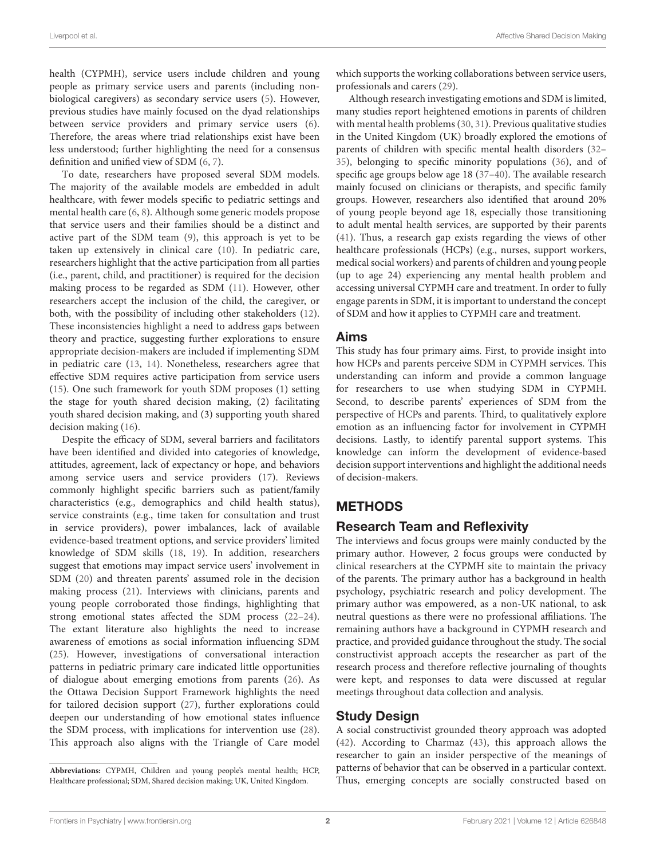health (CYPMH), service users include children and young people as primary service users and parents (including nonbiological caregivers) as secondary service users [\(5\)](#page-9-3). However, previous studies have mainly focused on the dyad relationships between service providers and primary service users [\(6\)](#page-9-4). Therefore, the areas where triad relationships exist have been less understood; further highlighting the need for a consensus definition and unified view of SDM [\(6,](#page-9-4) [7\)](#page-9-5).

To date, researchers have proposed several SDM models. The majority of the available models are embedded in adult healthcare, with fewer models specific to pediatric settings and mental health care [\(6,](#page-9-4) [8\)](#page-9-6). Although some generic models propose that service users and their families should be a distinct and active part of the SDM team [\(9\)](#page-9-7), this approach is yet to be taken up extensively in clinical care [\(10\)](#page-9-8). In pediatric care, researchers highlight that the active participation from all parties (i.e., parent, child, and practitioner) is required for the decision making process to be regarded as SDM [\(11\)](#page-9-9). However, other researchers accept the inclusion of the child, the caregiver, or both, with the possibility of including other stakeholders [\(12\)](#page-9-10). These inconsistencies highlight a need to address gaps between theory and practice, suggesting further explorations to ensure appropriate decision-makers are included if implementing SDM in pediatric care [\(13,](#page-9-11) [14\)](#page-10-0). Nonetheless, researchers agree that effective SDM requires active participation from service users [\(15\)](#page-10-1). One such framework for youth SDM proposes (1) setting the stage for youth shared decision making, (2) facilitating youth shared decision making, and (3) supporting youth shared decision making [\(16\)](#page-10-2).

Despite the efficacy of SDM, several barriers and facilitators have been identified and divided into categories of knowledge, attitudes, agreement, lack of expectancy or hope, and behaviors among service users and service providers [\(17\)](#page-10-3). Reviews commonly highlight specific barriers such as patient/family characteristics (e.g., demographics and child health status), service constraints (e.g., time taken for consultation and trust in service providers), power imbalances, lack of available evidence-based treatment options, and service providers' limited knowledge of SDM skills [\(18,](#page-10-4) [19\)](#page-10-5). In addition, researchers suggest that emotions may impact service users' involvement in SDM [\(20\)](#page-10-6) and threaten parents' assumed role in the decision making process [\(21\)](#page-10-7). Interviews with clinicians, parents and young people corroborated those findings, highlighting that strong emotional states affected the SDM process [\(22–](#page-10-8)[24\)](#page-10-9). The extant literature also highlights the need to increase awareness of emotions as social information influencing SDM [\(25\)](#page-10-10). However, investigations of conversational interaction patterns in pediatric primary care indicated little opportunities of dialogue about emerging emotions from parents [\(26\)](#page-10-11). As the Ottawa Decision Support Framework highlights the need for tailored decision support [\(27\)](#page-10-12), further explorations could deepen our understanding of how emotional states influence the SDM process, with implications for intervention use [\(28\)](#page-10-13). This approach also aligns with the Triangle of Care model which supports the working collaborations between service users, professionals and carers [\(29\)](#page-10-14).

Although research investigating emotions and SDM is limited, many studies report heightened emotions in parents of children with mental health problems [\(30,](#page-10-15) [31\)](#page-10-16). Previous qualitative studies in the United Kingdom (UK) broadly explored the emotions of parents of children with specific mental health disorders [\(32–](#page-10-17) [35\)](#page-10-18), belonging to specific minority populations [\(36\)](#page-10-19), and of specific age groups below age 18 [\(37–](#page-10-20)[40\)](#page-10-21). The available research mainly focused on clinicians or therapists, and specific family groups. However, researchers also identified that around 20% of young people beyond age 18, especially those transitioning to adult mental health services, are supported by their parents [\(41\)](#page-10-22). Thus, a research gap exists regarding the views of other healthcare professionals (HCPs) (e.g., nurses, support workers, medical social workers) and parents of children and young people (up to age 24) experiencing any mental health problem and accessing universal CYPMH care and treatment. In order to fully engage parents in SDM, it is important to understand the concept of SDM and how it applies to CYPMH care and treatment.

## Aims

This study has four primary aims. First, to provide insight into how HCPs and parents perceive SDM in CYPMH services. This understanding can inform and provide a common language for researchers to use when studying SDM in CYPMH. Second, to describe parents' experiences of SDM from the perspective of HCPs and parents. Third, to qualitatively explore emotion as an influencing factor for involvement in CYPMH decisions. Lastly, to identify parental support systems. This knowledge can inform the development of evidence-based decision support interventions and highlight the additional needs of decision-makers.

# METHODS

# Research Team and Reflexivity

The interviews and focus groups were mainly conducted by the primary author. However, 2 focus groups were conducted by clinical researchers at the CYPMH site to maintain the privacy of the parents. The primary author has a background in health psychology, psychiatric research and policy development. The primary author was empowered, as a non-UK national, to ask neutral questions as there were no professional affiliations. The remaining authors have a background in CYPMH research and practice, and provided guidance throughout the study. The social constructivist approach accepts the researcher as part of the research process and therefore reflective journaling of thoughts were kept, and responses to data were discussed at regular meetings throughout data collection and analysis.

## Study Design

A social constructivist grounded theory approach was adopted [\(42\)](#page-10-23). According to Charmaz [\(43\)](#page-10-24), this approach allows the researcher to gain an insider perspective of the meanings of patterns of behavior that can be observed in a particular context. Thus, emerging concepts are socially constructed based on

**Abbreviations:** CYPMH, Children and young people's mental health; HCP, Healthcare professional; SDM, Shared decision making; UK, United Kingdom.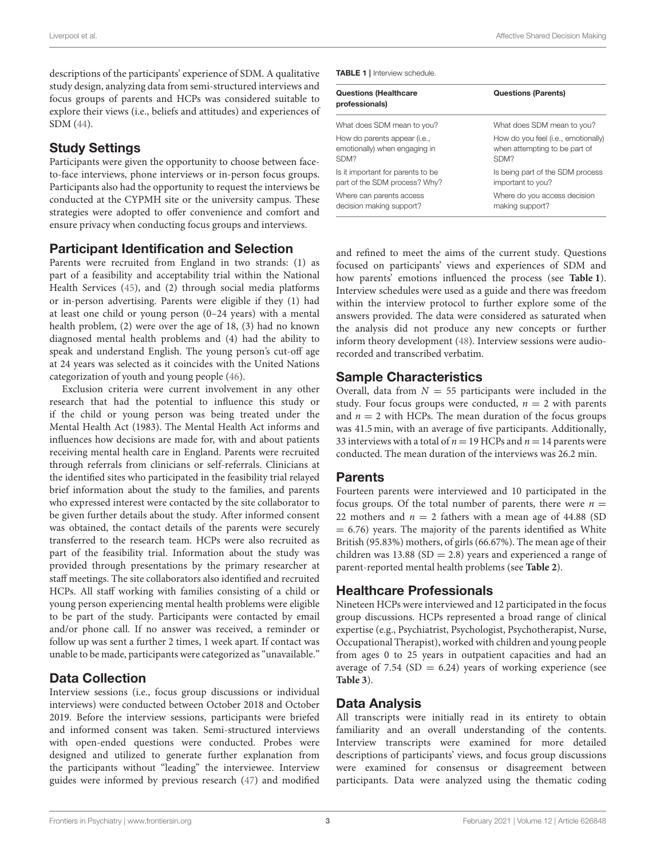descriptions of the participants' experience of SDM. A qualitative study design, analyzing data from semi-structured interviews and focus groups of parents and HCPs was considered suitable to explore their views (i.e., beliefs and attitudes) and experiences of SDM [\(44\)](#page-10-25).

## Study Settings

Participants were given the opportunity to choose between faceto-face interviews, phone interviews or in-person focus groups. Participants also had the opportunity to request the interviews be conducted at the CYPMH site or the university campus. These strategies were adopted to offer convenience and comfort and ensure privacy when conducting focus groups and interviews.

## Participant Identification and Selection

Parents were recruited from England in two strands: (1) as part of a feasibility and acceptability trial within the National Health Services [\(45\)](#page-10-26), and (2) through social media platforms or in-person advertising. Parents were eligible if they (1) had at least one child or young person (0–24 years) with a mental health problem, (2) were over the age of 18, (3) had no known diagnosed mental health problems and (4) had the ability to speak and understand English. The young person's cut-off age at 24 years was selected as it coincides with the United Nations categorization of youth and young people [\(46\)](#page-10-27).

Exclusion criteria were current involvement in any other research that had the potential to influence this study or if the child or young person was being treated under the Mental Health Act (1983). The Mental Health Act informs and influences how decisions are made for, with and about patients receiving mental health care in England. Parents were recruited through referrals from clinicians or self-referrals. Clinicians at the identified sites who participated in the feasibility trial relayed brief information about the study to the families, and parents who expressed interest were contacted by the site collaborator to be given further details about the study. After informed consent was obtained, the contact details of the parents were securely transferred to the research team. HCPs were also recruited as part of the feasibility trial. Information about the study was provided through presentations by the primary researcher at staff meetings. The site collaborators also identified and recruited HCPs. All staff working with families consisting of a child or young person experiencing mental health problems were eligible to be part of the study. Participants were contacted by email and/or phone call. If no answer was received, a reminder or follow up was sent a further 2 times, 1 week apart. If contact was unable to be made, participants were categorized as "unavailable."

## Data Collection

Interview sessions (i.e., focus group discussions or individual interviews) were conducted between October 2018 and October 2019. Before the interview sessions, participants were briefed and informed consent was taken. Semi-structured interviews with open-ended questions were conducted. Probes were designed and utilized to generate further explanation from the participants without "leading" the interviewee. Interview guides were informed by previous research [\(47\)](#page-10-28) and modified <span id="page-2-0"></span>TABLE 1 | Interview schedule.

| <b>Questions (Healthcare</b><br>professionals) | <b>Questions (Parents)</b>          |
|------------------------------------------------|-------------------------------------|
| What does SDM mean to you?                     | What does SDM mean to you?          |
| How do parents appear ( <i>i.e.</i> ,          | How do you feel (i.e., emotionally) |
| emotionally) when engaging in                  | when attempting to be part of       |
| SDM?                                           | SDM <sub>2</sub>                    |
| Is it important for parents to be              | Is being part of the SDM process    |
| part of the SDM process? Why?                  | important to you?                   |
| Where can parents access                       | Where do you access decision        |
| decision making support?                       | making support?                     |

and refined to meet the aims of the current study. Questions focused on participants' views and experiences of SDM and how parents' emotions influenced the process (see **[Table 1](#page-2-0)**). Interview schedules were used as a guide and there was freedom within the interview protocol to further explore some of the answers provided. The data were considered as saturated when the analysis did not produce any new concepts or further inform theory development [\(48\)](#page-10-29). Interview sessions were audiorecorded and transcribed verbatim.

## Sample Characteristics

Overall, data from  $N = 55$  participants were included in the study. Four focus groups were conducted,  $n = 2$  with parents and  $n = 2$  with HCPs. The mean duration of the focus groups was 41.5 min, with an average of five participants. Additionally, 33 interviews with a total of  $n = 19$  HCPs and  $n = 14$  parents were conducted. The mean duration of the interviews was 26.2 min.

## Parents

Fourteen parents were interviewed and 10 participated in the focus groups. Of the total number of parents, there were  $n =$ 22 mothers and  $n = 2$  fathers with a mean age of 44.88 (SD)  $= 6.76$ ) years. The majority of the parents identified as White British (95.83%) mothers, of girls (66.67%). The mean age of their children was 13.88 ( $SD = 2.8$ ) years and experienced a range of parent-reported mental health problems (see **[Table 2](#page-3-0)**).

## Healthcare Professionals

Nineteen HCPs were interviewed and 12 participated in the focus group discussions. HCPs represented a broad range of clinical expertise (e.g., Psychiatrist, Psychologist, Psychotherapist, Nurse, Occupational Therapist), worked with children and young people from ages 0 to 25 years in outpatient capacities and had an average of 7.54 (SD =  $6.24$ ) years of working experience (see **[Table 3](#page-3-1)**).

## Data Analysis

All transcripts were initially read in its entirety to obtain familiarity and an overall understanding of the contents. Interview transcripts were examined for more detailed descriptions of participants' views, and focus group discussions were examined for consensus or disagreement between participants. Data were analyzed using the thematic coding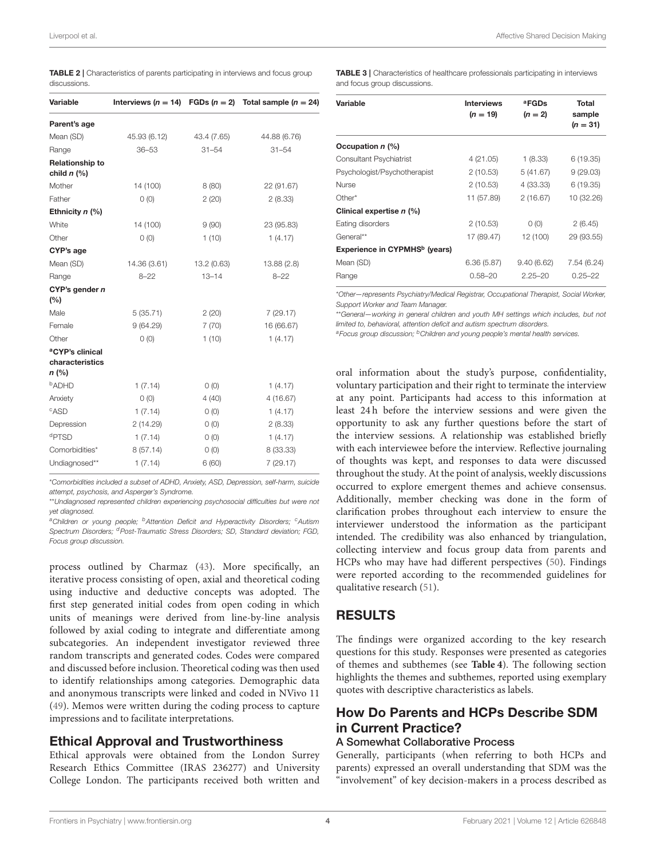Liverpool et al. Affective Shared Decision Making

<span id="page-3-0"></span>TABLE 2 | Characteristics of parents participating in interviews and focus group discussions.

| Variable                                                |              |             | Interviews ( $n = 14$ ) FGDs ( $n = 2$ ) Total sample ( $n = 24$ ) |
|---------------------------------------------------------|--------------|-------------|--------------------------------------------------------------------|
| Parent's age                                            |              |             |                                                                    |
| Mean (SD)                                               | 45.93 (6.12) | 43.4 (7.65) | 44.88 (6.76)                                                       |
| Range                                                   | $36 - 53$    | $31 - 54$   | $31 - 54$                                                          |
| Relationship to<br>child $n$ (%)                        |              |             |                                                                    |
| Mother                                                  | 14 (100)     | 8(80)       | 22 (91.67)                                                         |
| Father                                                  | 0(0)         | 2(20)       | 2(8.33)                                                            |
| Ethnicity $n$ (%)                                       |              |             |                                                                    |
| White                                                   | 14 (100)     | 9(90)       | 23 (95.83)                                                         |
| Other                                                   | O(0)         | 1(10)       | 1(4.17)                                                            |
| CYP's age                                               |              |             |                                                                    |
| Mean (SD)                                               | 14.36 (3.61) | 13.2 (0.63) | 13.88(2.8)                                                         |
| Range                                                   | $8 - 22$     | $13 - 14$   | $8 - 22$                                                           |
| CYP's gender n                                          |              |             |                                                                    |
| (%)                                                     |              |             |                                                                    |
| Male                                                    | 5(35.71)     | 2(20)       | 7(29.17)                                                           |
| Female                                                  | 9(64.29)     | 7(70)       | 16 (66.67)                                                         |
| Other                                                   | O(0)         | 1(10)       | 1(4.17)                                                            |
| <sup>a</sup> CYP's clinical<br>characteristics<br>n (%) |              |             |                                                                    |
| <sup>b</sup> ADHD                                       | 1(7.14)      | O(0)        | 1(4.17)                                                            |
| Anxiety                                                 | O(0)         | 4(40)       | 4(16.67)                                                           |
| CASD                                                    | 1(7.14)      | 0(0)        | 1(4.17)                                                            |
| Depression                                              | 2(14.29)     | 0(0)        | 2(8.33)                                                            |
| dPTSD                                                   | 1(7.14)      | 0(0)        | 1(4.17)                                                            |
| Comorbidities*                                          | 8(57.14)     | 0(0)        | 8 (33.33)                                                          |
| Undiagnosed**                                           | 1(7.14)      | 6(60)       | 7 (29.17)                                                          |
|                                                         |              |             |                                                                    |

\*Comorbidities included a subset of ADHD, Anxiety, ASD, Depression, self-harm, suicide attempt, psychosis, and Asperger's Syndrome.

\*\*Undiagnosed represented children experiencing psychosocial difficulties but were not yet diagnosed.

<sup>a</sup>Children or young people; <sup>b</sup>Attention Deficit and Hyperactivity Disorders; <sup>c</sup>Autism Spectrum Disorders; <sup>d</sup>Post-Traumatic Stress Disorders; SD, Standard deviation; FGD, Focus group discussion.

process outlined by Charmaz [\(43\)](#page-10-24). More specifically, an iterative process consisting of open, axial and theoretical coding using inductive and deductive concepts was adopted. The first step generated initial codes from open coding in which units of meanings were derived from line-by-line analysis followed by axial coding to integrate and differentiate among subcategories. An independent investigator reviewed three random transcripts and generated codes. Codes were compared and discussed before inclusion. Theoretical coding was then used to identify relationships among categories. Demographic data and anonymous transcripts were linked and coded in NVivo 11 [\(49\)](#page-10-30). Memos were written during the coding process to capture impressions and to facilitate interpretations.

## Ethical Approval and Trustworthiness

Ethical approvals were obtained from the London Surrey Research Ethics Committee (IRAS 236277) and University College London. The participants received both written and

<span id="page-3-1"></span>TABLE 3 | Characteristics of healthcare professionals participating in interviews and focus group discussions.

| Variable                                  | <b>Interviews</b><br>$(n = 19)$ | <sup>a</sup> FGDs<br>$(n = 2)$ | Total<br>sample<br>$(n = 31)$ |
|-------------------------------------------|---------------------------------|--------------------------------|-------------------------------|
| Occupation $n$ (%)                        |                                 |                                |                               |
| <b>Consultant Psychiatrist</b>            | 4(21.05)                        | 1(8.33)                        | 6 (19.35)                     |
| Psychologist/Psychotherapist              | 2(10.53)                        | 5(41.67)                       | 9(29.03)                      |
| <b>Nurse</b>                              | 2(10.53)                        | 4 (33.33)                      | 6 (19.35)                     |
| Other*                                    | 11 (57.89)                      | 2(16.67)                       | 10 (32.26)                    |
| Clinical expertise n (%)                  |                                 |                                |                               |
| Eating disorders                          | 2(10.53)                        | 0(0)                           | 2(6.45)                       |
| General**                                 | 17 (89.47)                      | 12 (100)                       | 29 (93.55)                    |
| Experience in CYPMHS <sup>b</sup> (years) |                                 |                                |                               |
| Mean (SD)                                 | 6.36(5.87)                      | 9.40(6.62)                     | 7.54 (6.24)                   |
| Range                                     | $0.58 - 20$                     | $2.25 - 20$                    | $0.25 - 22$                   |

\*Other—represents Psychiatry/Medical Registrar, Occupational Therapist, Social Worker, Support Worker and Team Manager.

\*\*General—working in general children and youth MH settings which includes, but not limited to, behavioral, attention deficit and autism spectrum disorders.

 $a<sup>a</sup>$  Focus group discussion;  $b<sup>b</sup>$  Children and young people's mental health services.

oral information about the study's purpose, confidentiality, voluntary participation and their right to terminate the interview at any point. Participants had access to this information at least 24 h before the interview sessions and were given the opportunity to ask any further questions before the start of the interview sessions. A relationship was established briefly with each interviewee before the interview. Reflective journaling of thoughts was kept, and responses to data were discussed throughout the study. At the point of analysis, weekly discussions occurred to explore emergent themes and achieve consensus. Additionally, member checking was done in the form of clarification probes throughout each interview to ensure the interviewer understood the information as the participant intended. The credibility was also enhanced by triangulation, collecting interview and focus group data from parents and HCPs who may have had different perspectives [\(50\)](#page-10-31). Findings were reported according to the recommended guidelines for qualitative research [\(51\)](#page-10-32).

## RESULTS

The findings were organized according to the key research questions for this study. Responses were presented as categories of themes and subthemes (see **[Table 4](#page-4-0)**). The following section highlights the themes and subthemes, reported using exemplary quotes with descriptive characteristics as labels.

## How Do Parents and HCPs Describe SDM in Current Practice?

#### A Somewhat Collaborative Process

Generally, participants (when referring to both HCPs and parents) expressed an overall understanding that SDM was the 'involvement" of key decision-makers in a process described as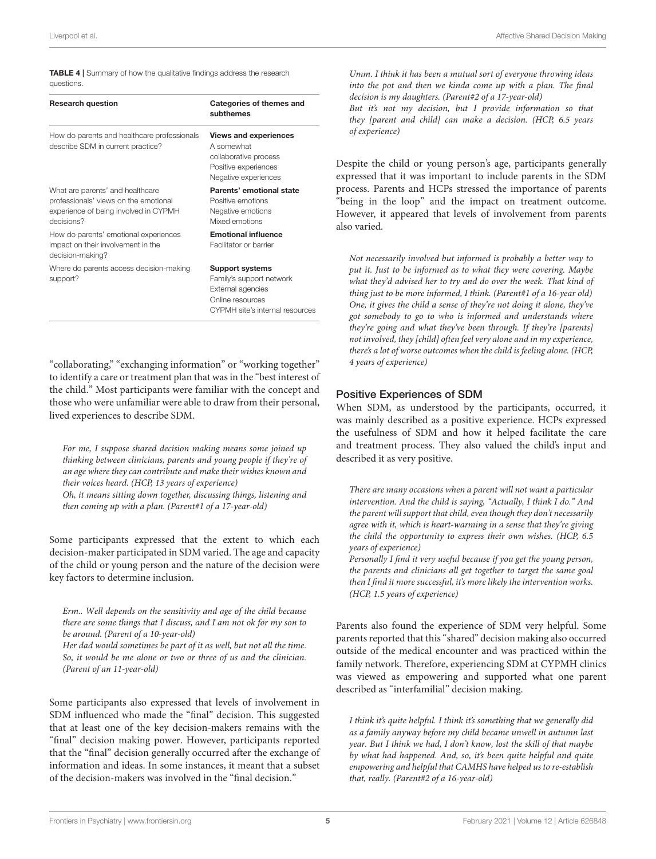<span id="page-4-0"></span>TABLE 4 | Summary of how the qualitative findings address the research questions.

| <b>Research question</b>                                                                                                         | Categories of themes and<br>subthemes                                                                                          |
|----------------------------------------------------------------------------------------------------------------------------------|--------------------------------------------------------------------------------------------------------------------------------|
| How do parents and healthcare professionals<br>describe SDM in current practice?                                                 | <b>Views and experiences</b><br>A somewhat<br>collaborative process<br>Positive experiences<br>Negative experiences            |
| What are parents' and healthcare<br>professionals' views on the emotional<br>experience of being involved in CYPMH<br>decisions? | Parents' emotional state<br>Positive emotions<br>Negative emotions<br>Mixed emotions                                           |
| How do parents' emotional experiences<br>impact on their involvement in the<br>decision-making?                                  | <b>Emotional influence</b><br>Facilitator or barrier                                                                           |
| Where do parents access decision-making<br>support?                                                                              | <b>Support systems</b><br>Family's support network<br>External agencies<br>Online resources<br>CYPMH site's internal resources |

"collaborating," "exchanging information" or "working together" to identify a care or treatment plan that was in the "best interest of the child." Most participants were familiar with the concept and those who were unfamiliar were able to draw from their personal, lived experiences to describe SDM.

For me, I suppose shared decision making means some joined up thinking between clinicians, parents and young people if they're of an age where they can contribute and make their wishes known and their voices heard. (HCP, 13 years of experience) Oh, it means sitting down together, discussing things, listening and then coming up with a plan. (Parent#1 of a 17-year-old)

Some participants expressed that the extent to which each decision-maker participated in SDM varied. The age and capacity of the child or young person and the nature of the decision were key factors to determine inclusion.

Erm.. Well depends on the sensitivity and age of the child because there are some things that I discuss, and I am not ok for my son to be around. (Parent of a 10-year-old)

Her dad would sometimes be part of it as well, but not all the time. So, it would be me alone or two or three of us and the clinician. (Parent of an 11-year-old)

Some participants also expressed that levels of involvement in SDM influenced who made the "final" decision. This suggested that at least one of the key decision-makers remains with the "final" decision making power. However, participants reported that the "final" decision generally occurred after the exchange of information and ideas. In some instances, it meant that a subset of the decision-makers was involved in the "final decision."

Umm. I think it has been a mutual sort of everyone throwing ideas into the pot and then we kinda come up with a plan. The final decision is my daughters. (Parent#2 of a 17-year-old)

But it's not my decision, but I provide information so that they [parent and child] can make a decision. (HCP, 6.5 years of experience)

Despite the child or young person's age, participants generally expressed that it was important to include parents in the SDM process. Parents and HCPs stressed the importance of parents "being in the loop" and the impact on treatment outcome. However, it appeared that levels of involvement from parents also varied.

Not necessarily involved but informed is probably a better way to put it. Just to be informed as to what they were covering. Maybe what they'd advised her to try and do over the week. That kind of thing just to be more informed, I think. (Parent#1 of a 16-year old) One, it gives the child a sense of they're not doing it alone, they've got somebody to go to who is informed and understands where they're going and what they've been through. If they're [parents] not involved, they [child] often feel very alone and in my experience, there's a lot of worse outcomes when the child is feeling alone. (HCP, 4 years of experience)

#### Positive Experiences of SDM

When SDM, as understood by the participants, occurred, it was mainly described as a positive experience. HCPs expressed the usefulness of SDM and how it helped facilitate the care and treatment process. They also valued the child's input and described it as very positive.

There are many occasions when a parent will not want a particular intervention. And the child is saying, "Actually, I think I do." And the parent will support that child, even though they don't necessarily agree with it, which is heart-warming in a sense that they're giving the child the opportunity to express their own wishes. (HCP, 6.5 years of experience)

Personally I find it very useful because if you get the young person, the parents and clinicians all get together to target the same goal then I find it more successful, it's more likely the intervention works. (HCP, 1.5 years of experience)

Parents also found the experience of SDM very helpful. Some parents reported that this "shared" decision making also occurred outside of the medical encounter and was practiced within the family network. Therefore, experiencing SDM at CYPMH clinics was viewed as empowering and supported what one parent described as "interfamilial" decision making.

I think it's quite helpful. I think it's something that we generally did as a family anyway before my child became unwell in autumn last year. But I think we had, I don't know, lost the skill of that maybe by what had happened. And, so, it's been quite helpful and quite empowering and helpful that CAMHS have helped us to re-establish that, really. (Parent#2 of a 16-year-old)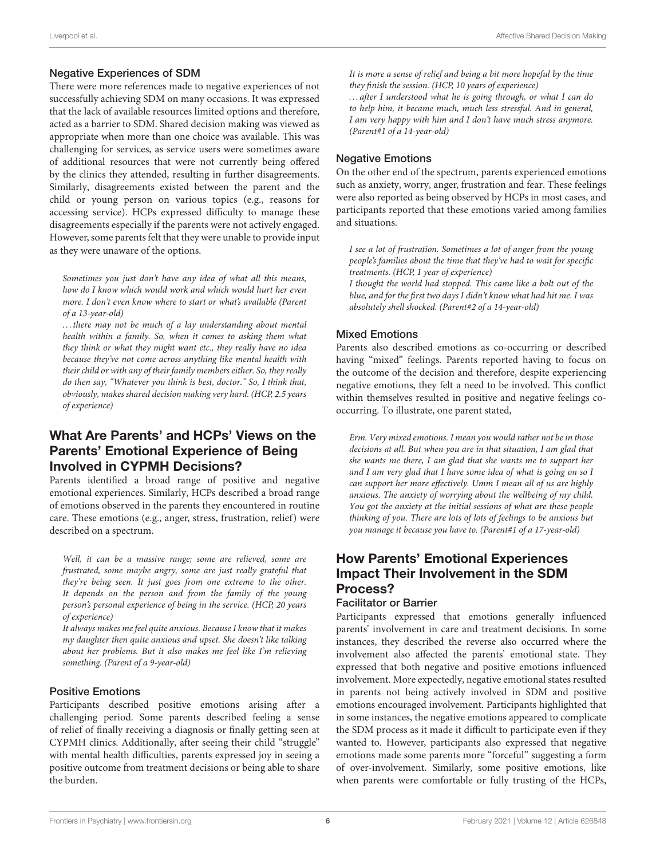#### Negative Experiences of SDM

There were more references made to negative experiences of not successfully achieving SDM on many occasions. It was expressed that the lack of available resources limited options and therefore, acted as a barrier to SDM. Shared decision making was viewed as appropriate when more than one choice was available. This was challenging for services, as service users were sometimes aware of additional resources that were not currently being offered by the clinics they attended, resulting in further disagreements. Similarly, disagreements existed between the parent and the child or young person on various topics (e.g., reasons for accessing service). HCPs expressed difficulty to manage these disagreements especially if the parents were not actively engaged. However, some parents felt that they were unable to provide input as they were unaware of the options.

Sometimes you just don't have any idea of what all this means, how do I know which would work and which would hurt her even more. I don't even know where to start or what's available (Parent of a 13-year-old)

. . . there may not be much of a lay understanding about mental health within a family. So, when it comes to asking them what they think or what they might want etc., they really have no idea because they've not come across anything like mental health with their child or with any of their family members either. So, they really do then say, "Whatever you think is best, doctor." So, I think that, obviously, makes shared decision making very hard. (HCP, 2.5 years of experience)

## What Are Parents' and HCPs' Views on the Parents' Emotional Experience of Being Involved in CYPMH Decisions?

Parents identified a broad range of positive and negative emotional experiences. Similarly, HCPs described a broad range of emotions observed in the parents they encountered in routine care. These emotions (e.g., anger, stress, frustration, relief) were described on a spectrum.

Well, it can be a massive range; some are relieved, some are frustrated, some maybe angry, some are just really grateful that they're being seen. It just goes from one extreme to the other. It depends on the person and from the family of the young person's personal experience of being in the service. (HCP, 20 years of experience)

It always makes me feel quite anxious. Because I know that it makes my daughter then quite anxious and upset. She doesn't like talking about her problems. But it also makes me feel like I'm relieving something. (Parent of a 9-year-old)

#### Positive Emotions

Participants described positive emotions arising after a challenging period. Some parents described feeling a sense of relief of finally receiving a diagnosis or finally getting seen at CYPMH clinics. Additionally, after seeing their child "struggle" with mental health difficulties, parents expressed joy in seeing a positive outcome from treatment decisions or being able to share the burden.

It is more a sense of relief and being a bit more hopeful by the time they finish the session. (HCP, 10 years of experience)

. . . after I understood what he is going through, or what I can do to help him, it became much, much less stressful. And in general, I am very happy with him and I don't have much stress anymore. (Parent#1 of a 14-year-old)

#### Negative Emotions

On the other end of the spectrum, parents experienced emotions such as anxiety, worry, anger, frustration and fear. These feelings were also reported as being observed by HCPs in most cases, and participants reported that these emotions varied among families and situations.

I see a lot of frustration. Sometimes a lot of anger from the young people's families about the time that they've had to wait for specific treatments. (HCP, 1 year of experience)

I thought the world had stopped. This came like a bolt out of the blue, and for the first two days I didn't know what had hit me. I was absolutely shell shocked. (Parent#2 of a 14-year-old)

#### Mixed Emotions

Parents also described emotions as co-occurring or described having "mixed" feelings. Parents reported having to focus on the outcome of the decision and therefore, despite experiencing negative emotions, they felt a need to be involved. This conflict within themselves resulted in positive and negative feelings cooccurring. To illustrate, one parent stated,

Erm. Very mixed emotions. I mean you would rather not be in those decisions at all. But when you are in that situation, I am glad that she wants me there, I am glad that she wants me to support her and I am very glad that I have some idea of what is going on so I can support her more effectively. Umm I mean all of us are highly anxious. The anxiety of worrying about the wellbeing of my child. You got the anxiety at the initial sessions of what are these people thinking of you. There are lots of lots of feelings to be anxious but you manage it because you have to. (Parent#1 of a 17-year-old)

## How Parents' Emotional Experiences Impact Their Involvement in the SDM Process?

#### Facilitator or Barrier

Participants expressed that emotions generally influenced parents' involvement in care and treatment decisions. In some instances, they described the reverse also occurred where the involvement also affected the parents' emotional state. They expressed that both negative and positive emotions influenced involvement. More expectedly, negative emotional states resulted in parents not being actively involved in SDM and positive emotions encouraged involvement. Participants highlighted that in some instances, the negative emotions appeared to complicate the SDM process as it made it difficult to participate even if they wanted to. However, participants also expressed that negative emotions made some parents more "forceful" suggesting a form of over-involvement. Similarly, some positive emotions, like when parents were comfortable or fully trusting of the HCPs,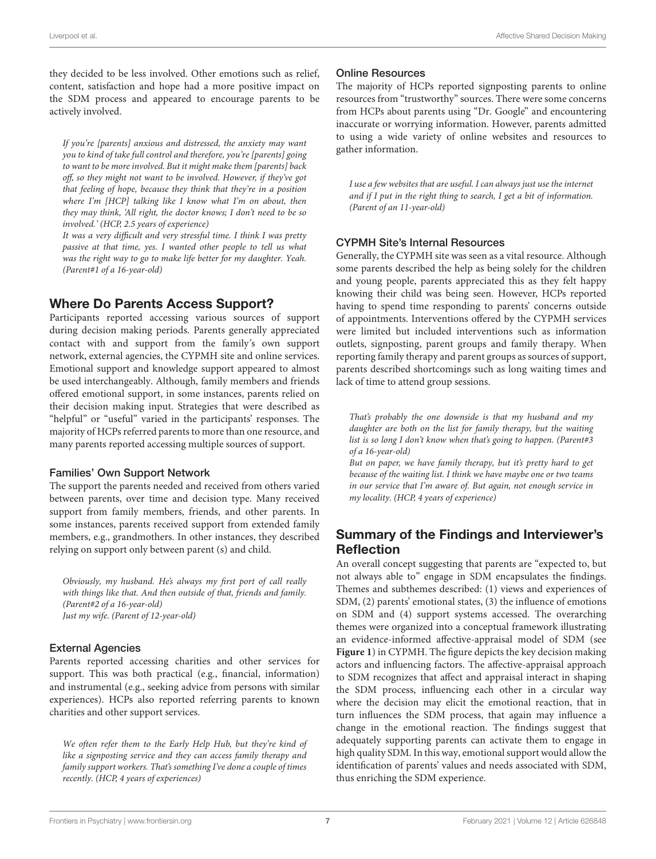they decided to be less involved. Other emotions such as relief, content, satisfaction and hope had a more positive impact on the SDM process and appeared to encourage parents to be actively involved.

If you're [parents] anxious and distressed, the anxiety may want you to kind of take full control and therefore, you're [parents] going to want to be more involved. But it might make them [parents] back off, so they might not want to be involved. However, if they've got that feeling of hope, because they think that they're in a position where I'm [HCP] talking like I know what I'm on about, then they may think, 'All right, the doctor knows; I don't need to be so involved.' (HCP, 2.5 years of experience)

It was a very difficult and very stressful time. I think I was pretty passive at that time, yes. I wanted other people to tell us what was the right way to go to make life better for my daughter. Yeah. (Parent#1 of a 16-year-old)

## Where Do Parents Access Support?

Participants reported accessing various sources of support during decision making periods. Parents generally appreciated contact with and support from the family's own support network, external agencies, the CYPMH site and online services. Emotional support and knowledge support appeared to almost be used interchangeably. Although, family members and friends offered emotional support, in some instances, parents relied on their decision making input. Strategies that were described as "helpful" or "useful" varied in the participants' responses. The majority of HCPs referred parents to more than one resource, and many parents reported accessing multiple sources of support.

#### Families' Own Support Network

The support the parents needed and received from others varied between parents, over time and decision type. Many received support from family members, friends, and other parents. In some instances, parents received support from extended family members, e.g., grandmothers. In other instances, they described relying on support only between parent (s) and child.

Obviously, my husband. He's always my first port of call really with things like that. And then outside of that, friends and family. (Parent#2 of a 16-year-old) Just my wife. (Parent of 12-year-old)

#### External Agencies

Parents reported accessing charities and other services for support. This was both practical (e.g., financial, information) and instrumental (e.g., seeking advice from persons with similar experiences). HCPs also reported referring parents to known charities and other support services.

We often refer them to the Early Help Hub, but they're kind of like a signposting service and they can access family therapy and family support workers. That's something I've done a couple of times recently. (HCP, 4 years of experiences)

#### Online Resources

The majority of HCPs reported signposting parents to online resources from "trustworthy" sources. There were some concerns from HCPs about parents using "Dr. Google" and encountering inaccurate or worrying information. However, parents admitted to using a wide variety of online websites and resources to gather information.

I use a few websites that are useful. I can always just use the internet and if I put in the right thing to search, I get a bit of information. (Parent of an 11-year-old)

#### CYPMH Site's Internal Resources

Generally, the CYPMH site was seen as a vital resource. Although some parents described the help as being solely for the children and young people, parents appreciated this as they felt happy knowing their child was being seen. However, HCPs reported having to spend time responding to parents' concerns outside of appointments. Interventions offered by the CYPMH services were limited but included interventions such as information outlets, signposting, parent groups and family therapy. When reporting family therapy and parent groups as sources of support, parents described shortcomings such as long waiting times and lack of time to attend group sessions.

That's probably the one downside is that my husband and my daughter are both on the list for family therapy, but the waiting list is so long I don't know when that's going to happen. (Parent#3 of a 16-year-old)

But on paper, we have family therapy, but it's pretty hard to get because of the waiting list. I think we have maybe one or two teams in our service that I'm aware of. But again, not enough service in my locality. (HCP, 4 years of experience)

## Summary of the Findings and Interviewer's Reflection

An overall concept suggesting that parents are "expected to, but not always able to" engage in SDM encapsulates the findings. Themes and subthemes described: (1) views and experiences of SDM, (2) parents' emotional states, (3) the influence of emotions on SDM and (4) support systems accessed. The overarching themes were organized into a conceptual framework illustrating an evidence-informed affective-appraisal model of SDM (see **[Figure 1](#page-7-0)**) in CYPMH. The figure depicts the key decision making actors and influencing factors. The affective-appraisal approach to SDM recognizes that affect and appraisal interact in shaping the SDM process, influencing each other in a circular way where the decision may elicit the emotional reaction, that in turn influences the SDM process, that again may influence a change in the emotional reaction. The findings suggest that adequately supporting parents can activate them to engage in high quality SDM. In this way, emotional support would allow the identification of parents' values and needs associated with SDM, thus enriching the SDM experience.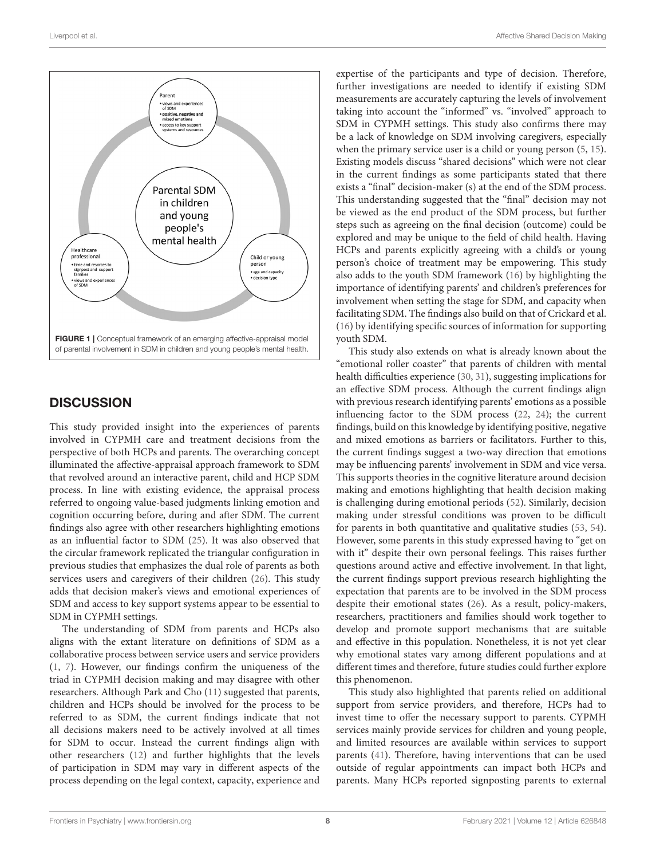

## <span id="page-7-0"></span>**DISCUSSION**

This study provided insight into the experiences of parents involved in CYPMH care and treatment decisions from the perspective of both HCPs and parents. The overarching concept illuminated the affective-appraisal approach framework to SDM that revolved around an interactive parent, child and HCP SDM process. In line with existing evidence, the appraisal process referred to ongoing value-based judgments linking emotion and cognition occurring before, during and after SDM. The current findings also agree with other researchers highlighting emotions as an influential factor to SDM [\(25\)](#page-10-10). It was also observed that the circular framework replicated the triangular configuration in previous studies that emphasizes the dual role of parents as both services users and caregivers of their children [\(26\)](#page-10-11). This study adds that decision maker's views and emotional experiences of SDM and access to key support systems appear to be essential to SDM in CYPMH settings.

The understanding of SDM from parents and HCPs also aligns with the extant literature on definitions of SDM as a collaborative process between service users and service providers [\(1,](#page-9-0) [7\)](#page-9-5). However, our findings confirm the uniqueness of the triad in CYPMH decision making and may disagree with other researchers. Although Park and Cho [\(11\)](#page-9-9) suggested that parents, children and HCPs should be involved for the process to be referred to as SDM, the current findings indicate that not all decisions makers need to be actively involved at all times for SDM to occur. Instead the current findings align with other researchers [\(12\)](#page-9-10) and further highlights that the levels of participation in SDM may vary in different aspects of the process depending on the legal context, capacity, experience and

expertise of the participants and type of decision. Therefore, further investigations are needed to identify if existing SDM measurements are accurately capturing the levels of involvement taking into account the "informed" vs. "involved" approach to SDM in CYPMH settings. This study also confirms there may be a lack of knowledge on SDM involving caregivers, especially when the primary service user is a child or young person [\(5,](#page-9-3) [15\)](#page-10-1). Existing models discuss "shared decisions" which were not clear in the current findings as some participants stated that there exists a "final" decision-maker (s) at the end of the SDM process. This understanding suggested that the "final" decision may not be viewed as the end product of the SDM process, but further steps such as agreeing on the final decision (outcome) could be explored and may be unique to the field of child health. Having HCPs and parents explicitly agreeing with a child's or young person's choice of treatment may be empowering. This study also adds to the youth SDM framework [\(16\)](#page-10-2) by highlighting the importance of identifying parents' and children's preferences for involvement when setting the stage for SDM, and capacity when facilitating SDM. The findings also build on that of Crickard et al. [\(16\)](#page-10-2) by identifying specific sources of information for supporting youth SDM.

This study also extends on what is already known about the "emotional roller coaster" that parents of children with mental health difficulties experience [\(30,](#page-10-15) [31\)](#page-10-16), suggesting implications for an effective SDM process. Although the current findings align with previous research identifying parents' emotions as a possible influencing factor to the SDM process [\(22,](#page-10-8) [24\)](#page-10-9); the current findings, build on this knowledge by identifying positive, negative and mixed emotions as barriers or facilitators. Further to this, the current findings suggest a two-way direction that emotions may be influencing parents' involvement in SDM and vice versa. This supports theories in the cognitive literature around decision making and emotions highlighting that health decision making is challenging during emotional periods [\(52\)](#page-10-33). Similarly, decision making under stressful conditions was proven to be difficult for parents in both quantitative and qualitative studies [\(53,](#page-10-34) [54\)](#page-10-35). However, some parents in this study expressed having to "get on with it" despite their own personal feelings. This raises further questions around active and effective involvement. In that light, the current findings support previous research highlighting the expectation that parents are to be involved in the SDM process despite their emotional states [\(26\)](#page-10-11). As a result, policy-makers, researchers, practitioners and families should work together to develop and promote support mechanisms that are suitable and effective in this population. Nonetheless, it is not yet clear why emotional states vary among different populations and at different times and therefore, future studies could further explore this phenomenon.

This study also highlighted that parents relied on additional support from service providers, and therefore, HCPs had to invest time to offer the necessary support to parents. CYPMH services mainly provide services for children and young people, and limited resources are available within services to support parents [\(41\)](#page-10-22). Therefore, having interventions that can be used outside of regular appointments can impact both HCPs and parents. Many HCPs reported signposting parents to external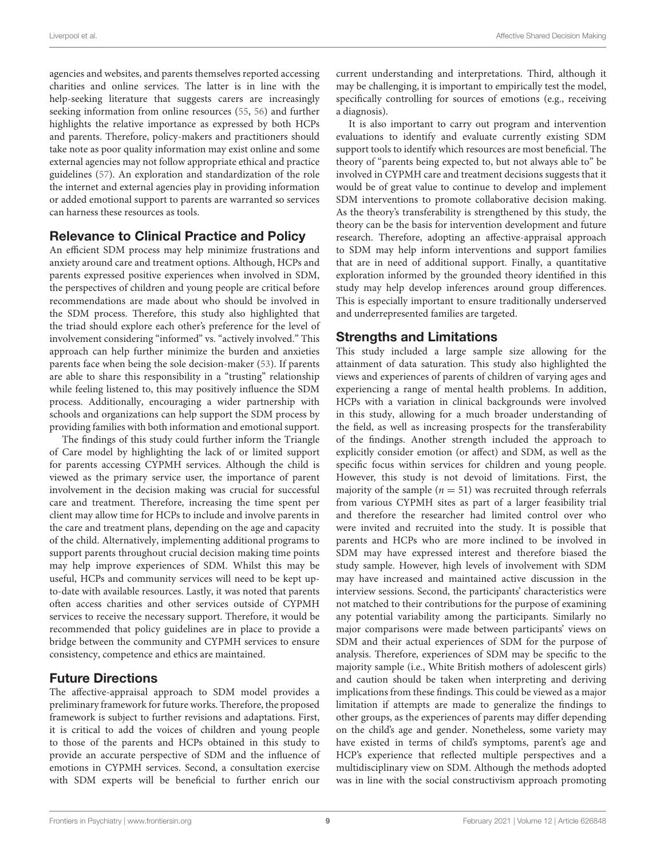agencies and websites, and parents themselves reported accessing charities and online services. The latter is in line with the help-seeking literature that suggests carers are increasingly seeking information from online resources [\(55,](#page-11-0) [56\)](#page-11-1) and further highlights the relative importance as expressed by both HCPs and parents. Therefore, policy-makers and practitioners should take note as poor quality information may exist online and some external agencies may not follow appropriate ethical and practice guidelines [\(57\)](#page-11-2). An exploration and standardization of the role the internet and external agencies play in providing information or added emotional support to parents are warranted so services can harness these resources as tools.

## Relevance to Clinical Practice and Policy

An efficient SDM process may help minimize frustrations and anxiety around care and treatment options. Although, HCPs and parents expressed positive experiences when involved in SDM, the perspectives of children and young people are critical before recommendations are made about who should be involved in the SDM process. Therefore, this study also highlighted that the triad should explore each other's preference for the level of involvement considering "informed" vs. "actively involved." This approach can help further minimize the burden and anxieties parents face when being the sole decision-maker [\(53\)](#page-10-34). If parents are able to share this responsibility in a "trusting" relationship while feeling listened to, this may positively influence the SDM process. Additionally, encouraging a wider partnership with schools and organizations can help support the SDM process by providing families with both information and emotional support.

The findings of this study could further inform the Triangle of Care model by highlighting the lack of or limited support for parents accessing CYPMH services. Although the child is viewed as the primary service user, the importance of parent involvement in the decision making was crucial for successful care and treatment. Therefore, increasing the time spent per client may allow time for HCPs to include and involve parents in the care and treatment plans, depending on the age and capacity of the child. Alternatively, implementing additional programs to support parents throughout crucial decision making time points may help improve experiences of SDM. Whilst this may be useful, HCPs and community services will need to be kept upto-date with available resources. Lastly, it was noted that parents often access charities and other services outside of CYPMH services to receive the necessary support. Therefore, it would be recommended that policy guidelines are in place to provide a bridge between the community and CYPMH services to ensure consistency, competence and ethics are maintained.

## Future Directions

The affective-appraisal approach to SDM model provides a preliminary framework for future works. Therefore, the proposed framework is subject to further revisions and adaptations. First, it is critical to add the voices of children and young people to those of the parents and HCPs obtained in this study to provide an accurate perspective of SDM and the influence of emotions in CYPMH services. Second, a consultation exercise with SDM experts will be beneficial to further enrich our current understanding and interpretations. Third, although it may be challenging, it is important to empirically test the model, specifically controlling for sources of emotions (e.g., receiving a diagnosis).

It is also important to carry out program and intervention evaluations to identify and evaluate currently existing SDM support tools to identify which resources are most beneficial. The theory of "parents being expected to, but not always able to" be involved in CYPMH care and treatment decisions suggests that it would be of great value to continue to develop and implement SDM interventions to promote collaborative decision making. As the theory's transferability is strengthened by this study, the theory can be the basis for intervention development and future research. Therefore, adopting an affective-appraisal approach to SDM may help inform interventions and support families that are in need of additional support. Finally, a quantitative exploration informed by the grounded theory identified in this study may help develop inferences around group differences. This is especially important to ensure traditionally underserved and underrepresented families are targeted.

## Strengths and Limitations

This study included a large sample size allowing for the attainment of data saturation. This study also highlighted the views and experiences of parents of children of varying ages and experiencing a range of mental health problems. In addition, HCPs with a variation in clinical backgrounds were involved in this study, allowing for a much broader understanding of the field, as well as increasing prospects for the transferability of the findings. Another strength included the approach to explicitly consider emotion (or affect) and SDM, as well as the specific focus within services for children and young people. However, this study is not devoid of limitations. First, the majority of the sample ( $n = 51$ ) was recruited through referrals from various CYPMH sites as part of a larger feasibility trial and therefore the researcher had limited control over who were invited and recruited into the study. It is possible that parents and HCPs who are more inclined to be involved in SDM may have expressed interest and therefore biased the study sample. However, high levels of involvement with SDM may have increased and maintained active discussion in the interview sessions. Second, the participants' characteristics were not matched to their contributions for the purpose of examining any potential variability among the participants. Similarly no major comparisons were made between participants' views on SDM and their actual experiences of SDM for the purpose of analysis. Therefore, experiences of SDM may be specific to the majority sample (i.e., White British mothers of adolescent girls) and caution should be taken when interpreting and deriving implications from these findings. This could be viewed as a major limitation if attempts are made to generalize the findings to other groups, as the experiences of parents may differ depending on the child's age and gender. Nonetheless, some variety may have existed in terms of child's symptoms, parent's age and HCP's experience that reflected multiple perspectives and a multidisciplinary view on SDM. Although the methods adopted was in line with the social constructivism approach promoting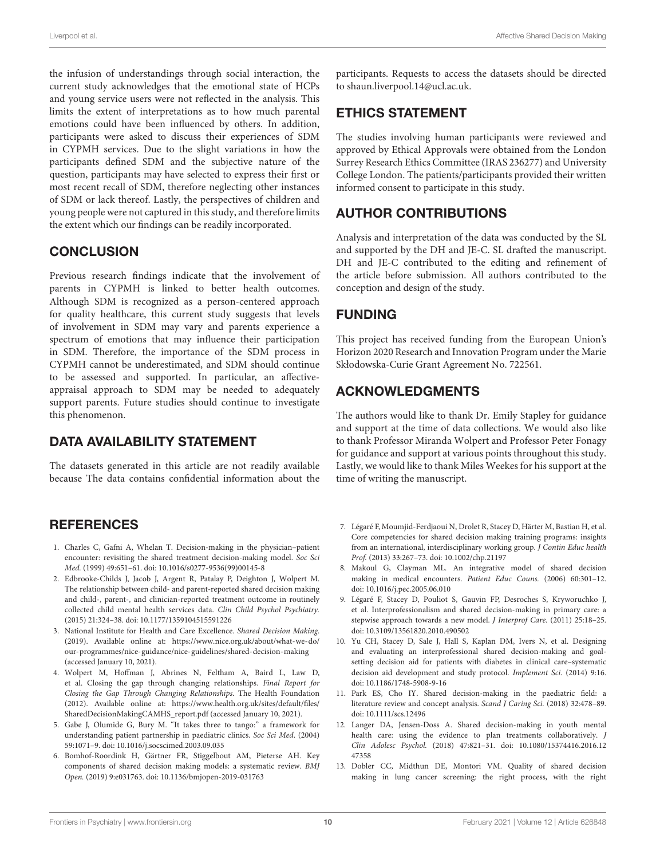the infusion of understandings through social interaction, the current study acknowledges that the emotional state of HCPs and young service users were not reflected in the analysis. This limits the extent of interpretations as to how much parental emotions could have been influenced by others. In addition, participants were asked to discuss their experiences of SDM in CYPMH services. Due to the slight variations in how the participants defined SDM and the subjective nature of the question, participants may have selected to express their first or most recent recall of SDM, therefore neglecting other instances of SDM or lack thereof. Lastly, the perspectives of children and young people were not captured in this study, and therefore limits the extent which our findings can be readily incorporated.

## **CONCLUSION**

Previous research findings indicate that the involvement of parents in CYPMH is linked to better health outcomes. Although SDM is recognized as a person-centered approach for quality healthcare, this current study suggests that levels of involvement in SDM may vary and parents experience a spectrum of emotions that may influence their participation in SDM. Therefore, the importance of the SDM process in CYPMH cannot be underestimated, and SDM should continue to be assessed and supported. In particular, an affectiveappraisal approach to SDM may be needed to adequately support parents. Future studies should continue to investigate this phenomenon.

## DATA AVAILABILITY STATEMENT

The datasets generated in this article are not readily available because The data contains confidential information about the

#### **REFERENCES**

- <span id="page-9-0"></span>1. Charles C, Gafni A, Whelan T. Decision-making in the physician–patient encounter: revisiting the shared treatment decision-making model. Soc Sci Med. (1999) 49:651–61. doi: [10.1016/s0277-9536\(99\)00145-8](https://doi.org/10.1016/s0277-9536(99)00145-8)
- <span id="page-9-1"></span>2. Edbrooke-Childs J, Jacob J, Argent R, Patalay P, Deighton J, Wolpert M. The relationship between child- and parent-reported shared decision making and child-, parent-, and clinician-reported treatment outcome in routinely collected child mental health services data. Clin Child Psychol Psychiatry. (2015) 21:324–38. doi: [10.1177/1359104515591226](https://doi.org/10.1177/1359104515591226)
- 3. National Institute for Health and Care Excellence. Shared Decision Making. (2019). Available online at: [https://www.nice.org.uk/about/what-we-do/](https://www.nice.org.uk/about/what-we-do/our-programmes/nice-guidance/nice-guidelines/shared-decision-making) [our-programmes/nice-guidance/nice-guidelines/shared-decision-making](https://www.nice.org.uk/about/what-we-do/our-programmes/nice-guidance/nice-guidelines/shared-decision-making) (accessed January 10, 2021).
- <span id="page-9-2"></span>4. Wolpert M, Hoffman J, Abrines N, Feltham A, Baird L, Law D, et al. Closing the gap through changing relationships. Final Report for Closing the Gap Through Changing Relationships. The Health Foundation (2012). Available online at: [https://www.health.org.uk/sites/default/files/](https://www.health.org.uk/sites/default/files/SharedDecisionMakingCAMHS_report.pdf) [SharedDecisionMakingCAMHS\\_report.pdf](https://www.health.org.uk/sites/default/files/SharedDecisionMakingCAMHS_report.pdf) (accessed January 10, 2021).
- <span id="page-9-3"></span>5. Gabe J, Olumide G, Bury M. "It takes three to tango:" a framework for understanding patient partnership in paediatric clinics. Soc Sci Med. (2004) 59:1071–9. doi: [10.1016/j.socscimed.2003.09.035](https://doi.org/10.1016/j.socscimed.2003.09.035)
- <span id="page-9-4"></span>6. Bomhof-Roordink H, Gärtner FR, Stiggelbout AM, Pieterse AH. Key components of shared decision making models: a systematic review. BMJ Open. (2019) 9:e031763. doi: [10.1136/bmjopen-2019-031763](https://doi.org/10.1136/bmjopen-2019-031763)

participants. Requests to access the datasets should be directed to shaun.liverpool.14@ucl.ac.uk.

## ETHICS STATEMENT

The studies involving human participants were reviewed and approved by Ethical Approvals were obtained from the London Surrey Research Ethics Committee (IRAS 236277) and University College London. The patients/participants provided their written informed consent to participate in this study.

## AUTHOR CONTRIBUTIONS

Analysis and interpretation of the data was conducted by the SL and supported by the DH and JE-C. SL drafted the manuscript. DH and JE-C contributed to the editing and refinement of the article before submission. All authors contributed to the conception and design of the study.

## FUNDING

This project has received funding from the European Union's Horizon 2020 Research and Innovation Program under the Marie Skłodowska-Curie Grant Agreement No. 722561.

## ACKNOWLEDGMENTS

The authors would like to thank Dr. Emily Stapley for guidance and support at the time of data collections. We would also like to thank Professor Miranda Wolpert and Professor Peter Fonagy for guidance and support at various points throughout this study. Lastly, we would like to thank Miles Weekes for his support at the time of writing the manuscript.

- <span id="page-9-5"></span>7. Légaré F, Moumjid-Ferdjaoui N, Drolet R, Stacey D, Härter M, Bastian H, et al. Core competencies for shared decision making training programs: insights from an international, interdisciplinary working group. J Contin Educ health Prof. (2013) 33:267–73. doi: [10.1002/chp.21197](https://doi.org/10.1002/chp.21197)
- <span id="page-9-6"></span>8. Makoul G, Clayman ML. An integrative model of shared decision making in medical encounters. Patient Educ Couns. (2006) 60:301–12. doi: [10.1016/j.pec.2005.06.010](https://doi.org/10.1016/j.pec.2005.06.010)
- <span id="page-9-7"></span>9. Légaré F, Stacey D, Pouliot S, Gauvin FP, Desroches S, Kryworuchko J, et al. Interprofessionalism and shared decision-making in primary care: a stepwise approach towards a new model. J Interprof Care. (2011) 25:18–25. doi: [10.3109/13561820.2010.490502](https://doi.org/10.3109/13561820.2010.490502)
- <span id="page-9-8"></span>10. Yu CH, Stacey D, Sale J, Hall S, Kaplan DM, Ivers N, et al. Designing and evaluating an interprofessional shared decision-making and goalsetting decision aid for patients with diabetes in clinical care–systematic decision aid development and study protocol. Implement Sci. (2014) 9:16. doi: [10.1186/1748-5908-9-16](https://doi.org/10.1186/1748-5908-9-16)
- <span id="page-9-9"></span>11. Park ES, Cho IY. Shared decision-making in the paediatric field: a literature review and concept analysis. Scand J Caring Sci. (2018) 32:478–89. doi: [10.1111/scs.12496](https://doi.org/10.1111/scs.12496)
- <span id="page-9-10"></span>12. Langer DA, Jensen-Doss A. Shared decision-making in youth mental health care: using the evidence to plan treatments collaboratively. J Clin Adolesc Psychol. [\(2018\) 47:821–31. doi: 10.1080/15374416.2016.12](https://doi.org/10.1080/15374416.2016.1247358) 47358
- <span id="page-9-11"></span>13. Dobler CC, Midthun DE, Montori VM. Quality of shared decision making in lung cancer screening: the right process, with the right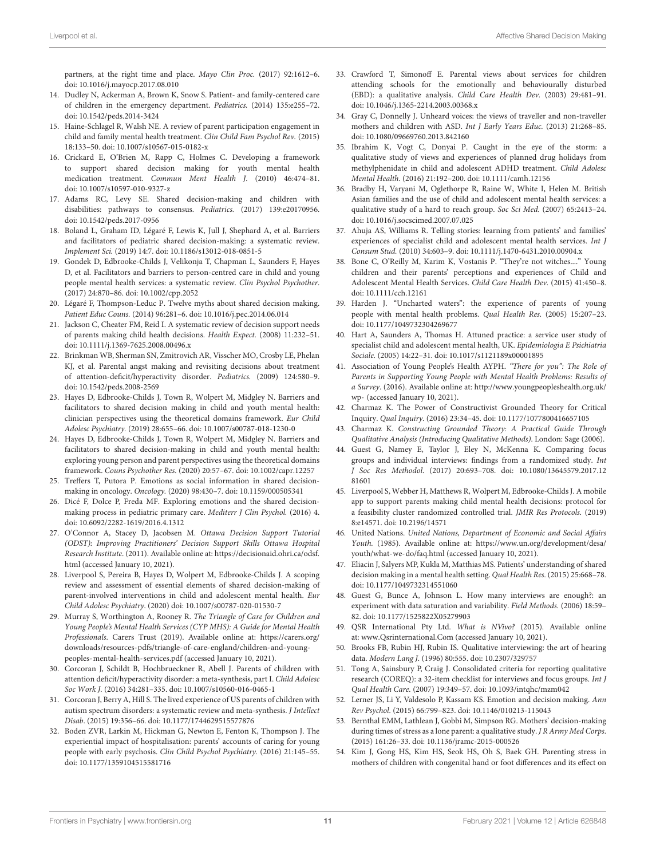partners, at the right time and place. Mayo Clin Proc. (2017) 92:1612–6. doi: [10.1016/j.mayocp.2017.08.010](https://doi.org/10.1016/j.mayocp.2017.08.010)

- <span id="page-10-0"></span>14. Dudley N, Ackerman A, Brown K, Snow S. Patient- and family-centered care of children in the emergency department. Pediatrics. (2014) 135:e255–72. doi: [10.1542/peds.2014-3424](https://doi.org/10.1542/peds.2014-3424)
- <span id="page-10-1"></span>15. Haine-Schlagel R, Walsh NE. A review of parent participation engagement in child and family mental health treatment. Clin Child Fam Psychol Rev. (2015) 18:133–50. doi: [10.1007/s10567-015-0182-x](https://doi.org/10.1007/s10567-015-0182-x)
- <span id="page-10-2"></span>16. Crickard E, O'Brien M, Rapp C, Holmes C. Developing a framework to support shared decision making for youth mental health medication treatment. Commun Ment Health J. (2010) 46:474–81. doi: [10.1007/s10597-010-9327-z](https://doi.org/10.1007/s10597-010-9327-z)
- <span id="page-10-3"></span>17. Adams RC, Levy SE. Shared decision-making and children with disabilities: pathways to consensus. Pediatrics. (2017) 139:e20170956. doi: [10.1542/peds.2017-0956](https://doi.org/10.1542/peds.2017-0956)
- <span id="page-10-4"></span>18. Boland L, Graham ID, Légaré F, Lewis K, Jull J, Shephard A, et al. Barriers and facilitators of pediatric shared decision-making: a systematic review. Implement Sci. (2019) 14:7. doi: [10.1186/s13012-018-0851-5](https://doi.org/10.1186/s13012-018-0851-5)
- <span id="page-10-5"></span>19. Gondek D, Edbrooke-Childs J, Velikonja T, Chapman L, Saunders F, Hayes D, et al. Facilitators and barriers to person-centred care in child and young people mental health services: a systematic review. Clin Psychol Psychother. (2017) 24:870–86. doi: [10.1002/cpp.2052](https://doi.org/10.1002/cpp.2052)
- <span id="page-10-6"></span>20. Légaré F, Thompson-Leduc P. Twelve myths about shared decision making. Patient Educ Couns. (2014) 96:281–6. doi: [10.1016/j.pec.2014.06.014](https://doi.org/10.1016/j.pec.2014.06.014)
- <span id="page-10-7"></span>21. Jackson C, Cheater FM, Reid I. A systematic review of decision support needs of parents making child health decisions. Health Expect. (2008) 11:232–51. doi: [10.1111/j.1369-7625.2008.00496.x](https://doi.org/10.1111/j.1369-7625.2008.00496.x)
- <span id="page-10-8"></span>22. Brinkman WB, Sherman SN, Zmitrovich AR, Visscher MO, Crosby LE, Phelan KJ, et al. Parental angst making and revisiting decisions about treatment of attention-deficit/hyperactivity disorder. Pediatrics. (2009) 124:580–9. doi: [10.1542/peds.2008-2569](https://doi.org/10.1542/peds.2008-2569)
- 23. Hayes D, Edbrooke-Childs J, Town R, Wolpert M, Midgley N. Barriers and facilitators to shared decision making in child and youth mental health: clinician perspectives using the theoretical domains framework. Eur Child Adolesc Psychiatry. (2019) 28:655–66. doi: [10.1007/s00787-018-1230-0](https://doi.org/10.1007/s00787-018-1230-0)
- <span id="page-10-9"></span>24. Hayes D, Edbrooke-Childs J, Town R, Wolpert M, Midgley N. Barriers and facilitators to shared decision-making in child and youth mental health: exploring young person and parent perspectives using the theoretical domains framework. Couns Psychother Res. (2020) 20:57–67. doi: [10.1002/capr.12257](https://doi.org/10.1002/capr.12257)
- <span id="page-10-10"></span>25. Treffers T, Putora P. Emotions as social information in shared decisionmaking in oncology. Oncology. (2020) 98:430–7. doi: [10.1159/000505341](https://doi.org/10.1159/000505341)
- <span id="page-10-11"></span>26. Dicé F, Dolce P, Freda MF. Exploring emotions and the shared decisionmaking process in pediatric primary care. Mediterr J Clin Psychol. (2016) 4. doi: [10.6092/2282-1619/2016.4.1312](https://doi.org/10.6092/2282-1619/2016.4.1312)
- <span id="page-10-12"></span>27. O'Connor A, Stacey D, Jacobsen M. Ottawa Decision Support Tutorial (ODST): Improving Practitioners' Decision Support Skills Ottawa Hospital Research Institute. (2011). Available online at: [https://decisionaid.ohri.ca/odsf.](https://decisionaid.ohri.ca/odsf.html) [html](https://decisionaid.ohri.ca/odsf.html) (accessed January 10, 2021).
- <span id="page-10-13"></span>28. Liverpool S, Pereira B, Hayes D, Wolpert M, Edbrooke-Childs J. A scoping review and assessment of essential elements of shared decision-making of parent-involved interventions in child and adolescent mental health. Eur Child Adolesc Psychiatry. (2020) doi: [10.1007/s00787-020-01530-7](https://doi.org/10.1007/s00787-020-01530-7)
- <span id="page-10-14"></span>29. Murray S, Worthington A, Rooney R. The Triangle of Care for Children and Young People's Mental Health Services (CYP MHS): A Guide for Mental Health Professionals. Carers Trust (2019). Available online at: [https://carers.org/](https://carers.org/downloads/resources-pdfs/triangle-of-care-england/children-and-young-peoples-mental-health-services.pdf) [downloads/resources-pdfs/triangle-of-care-england/children-and-young](https://carers.org/downloads/resources-pdfs/triangle-of-care-england/children-and-young-peoples-mental-health-services.pdf)[peoples-mental-health-services.pdf](https://carers.org/downloads/resources-pdfs/triangle-of-care-england/children-and-young-peoples-mental-health-services.pdf) (accessed January 10, 2021).
- <span id="page-10-15"></span>30. Corcoran J, Schildt B, Hochbrueckner R, Abell J. Parents of children with attention deficit/hyperactivity disorder: a meta-synthesis, part I. Child Adolesc Soc Work J. (2016) 34:281–335. doi: [10.1007/s10560-016-0465-1](https://doi.org/10.1007/s10560-016-0465-1)
- <span id="page-10-16"></span>31. Corcoran J, Berry A, Hill S. The lived experience of US parents of children with autism spectrum disorders: a systematic review and meta-synthesis. J Intellect Disab. (2015) 19:356–66. doi: [10.1177/1744629515577876](https://doi.org/10.1177/1744629515577876)
- <span id="page-10-17"></span>32. Boden ZVR, Larkin M, Hickman G, Newton E, Fenton K, Thompson J. The experiential impact of hospitalisation: parents' accounts of caring for young people with early psychosis. Clin Child Psychol Psychiatry. (2016) 21:145–55. doi: [10.1177/1359104515581716](https://doi.org/10.1177/1359104515581716)
- 33. Crawford T, Simonoff E. Parental views about services for children attending schools for the emotionally and behaviourally disturbed (EBD): a qualitative analysis. Child Care Health Dev. (2003) 29:481–91. doi: [10.1046/j.1365-2214.2003.00368.x](https://doi.org/10.1046/j.1365-2214.2003.00368.x)
- 34. Gray C, Donnelly J. Unheard voices: the views of traveller and non-traveller mothers and children with ASD. Int J Early Years Educ. (2013) 21:268–85. doi: [10.1080/09669760.2013.842160](https://doi.org/10.1080/09669760.2013.842160)
- <span id="page-10-18"></span>35. Ibrahim K, Vogt C, Donyai P. Caught in the eye of the storm: a qualitative study of views and experiences of planned drug holidays from methylphenidate in child and adolescent ADHD treatment. Child Adolesc Mental Health. (2016) 21:192–200. doi: [10.1111/camh.12156](https://doi.org/10.1111/camh.12156)
- <span id="page-10-19"></span>36. Bradby H, Varyani M, Oglethorpe R, Raine W, White I, Helen M. British Asian families and the use of child and adolescent mental health services: a qualitative study of a hard to reach group. Soc Sci Med. (2007) 65:2413–24. doi: [10.1016/j.socscimed.2007.07.025](https://doi.org/10.1016/j.socscimed.2007.07.025)
- <span id="page-10-20"></span>37. Ahuja AS, Williams R. Telling stories: learning from patients' and families' experiences of specialist child and adolescent mental health services. Int J Consum Stud. (2010) 34:603–9. doi: [10.1111/j.1470-6431.2010.00904.x](https://doi.org/10.1111/j.1470-6431.2010.00904.x)
- 38. Bone C, O'Reilly M, Karim K, Vostanis P. "They're not witches...." Young children and their parents' perceptions and experiences of Child and Adolescent Mental Health Services. Child Care Health Dev. (2015) 41:450–8. doi: [10.1111/cch.12161](https://doi.org/10.1111/cch.12161)
- 39. Harden J. "Uncharted waters": the experience of parents of young people with mental health problems. Qual Health Res. (2005) 15:207–23. doi: [10.1177/1049732304269677](https://doi.org/10.1177/1049732304269677)
- <span id="page-10-21"></span>40. Hart A, Saunders A, Thomas H. Attuned practice: a service user study of specialist child and adolescent mental health, UK. Epidemiologia E Psichiatria Sociale. (2005) 14:22–31. doi: [10.1017/s1121189x00001895](https://doi.org/10.1017/s1121189x00001895)
- <span id="page-10-22"></span>41. Association of Young People's Health AYPH. "There for you": The Role of Parents in Supporting Young People with Mental Health Problems: Results of a Survey. (2016). Available online at: [http://www.youngpeopleshealth.org.uk/](http://www.youngpeopleshealth.org.uk/wp-) [wp-](http://www.youngpeopleshealth.org.uk/wp-) (accessed January 10, 2021).
- <span id="page-10-23"></span>42. Charmaz K. The Power of Constructivist Grounded Theory for Critical Inquiry. Qual Inquiry. (2016) 23:34–45. doi: [10.1177/1077800416657105](https://doi.org/10.1177/1077800416657105)
- <span id="page-10-24"></span>43. Charmaz K. Constructing Grounded Theory: A Practical Guide Through Qualitative Analysis (Introducing Qualitative Methods). London: Sage (2006).
- <span id="page-10-25"></span>44. Guest G, Namey E, Taylor J, Eley N, McKenna K. Comparing focus groups and individual interviews: findings from a randomized study. Int J Soc Res Methodol[. \(2017\) 20:693–708. doi: 10.1080/13645579.2017.12](https://doi.org/10.1080/13645579.2017.1281601) 81601
- <span id="page-10-26"></span>45. Liverpool S, Webber H, Matthews R, Wolpert M, Edbrooke-Childs J. A mobile app to support parents making child mental health decisions: protocol for a feasibility cluster randomized controlled trial. JMIR Res Protocols. (2019) 8:e14571. doi: [10.2196/14571](https://doi.org/10.2196/14571)
- <span id="page-10-27"></span>46. United Nations. United Nations, Department of Economic and Social Affairs Youth. (1985). Available online at: [https://www.un.org/development/desa/](https://www.un.org/development/desa/youth/what-we-do/faq.html) [youth/what-we-do/faq.html](https://www.un.org/development/desa/youth/what-we-do/faq.html) (accessed January 10, 2021).
- <span id="page-10-28"></span>47. Eliacin J, Salyers MP, Kukla M, Matthias MS. Patients' understanding of shared decision making in a mental health setting. Qual Health Res. (2015) 25:668–78. doi: [10.1177/1049732314551060](https://doi.org/10.1177/1049732314551060)
- <span id="page-10-29"></span>48. Guest G, Bunce A, Johnson L. How many interviews are enough?: an experiment with data saturation and variability. Field Methods. (2006) 18:59– 82. doi: [10.1177/1525822X05279903](https://doi.org/10.1177/1525822X05279903)
- <span id="page-10-30"></span>49. QSR International Pty Ltd. What is NVivo? (2015). Available online at: [www.Qsrinternational.Com](http://www.Qsrinternational.Com) (accessed January 10, 2021).
- <span id="page-10-31"></span>50. Brooks FB, Rubin HJ, Rubin IS. Qualitative interviewing: the art of hearing data. Modern Lang J. (1996) 80:555. doi: [10.2307/329757](https://doi.org/10.2307/329757)
- <span id="page-10-32"></span>51. Tong A, Sainsbury P, Craig J. Consolidated criteria for reporting qualitative research (COREQ): a 32-item checklist for interviews and focus groups. Int J Qual Health Care. (2007) 19:349–57. doi: [10.1093/intqhc/mzm042](https://doi.org/10.1093/intqhc/mzm042)
- <span id="page-10-33"></span>52. Lerner JS, Li Y, Valdesolo P, Kassam KS. Emotion and decision making. Ann Rev Psychol. (2015) 66:799–823. doi: [10.1146/010213-115043](https://doi.org/10.1146/010213-115043)
- <span id="page-10-34"></span>53. Bernthal EMM, Lathlean J, Gobbi M, Simpson RG. Mothers' decision-making during times of stress as a lone parent: a qualitative study. J R Army Med Corps. (2015) 161:26–33. doi: [10.1136/jramc-2015-000526](https://doi.org/10.1136/jramc-2015-000526)
- <span id="page-10-35"></span>54. Kim J, Gong HS, Kim HS, Seok HS, Oh S, Baek GH. Parenting stress in mothers of children with congenital hand or foot differences and its effect on